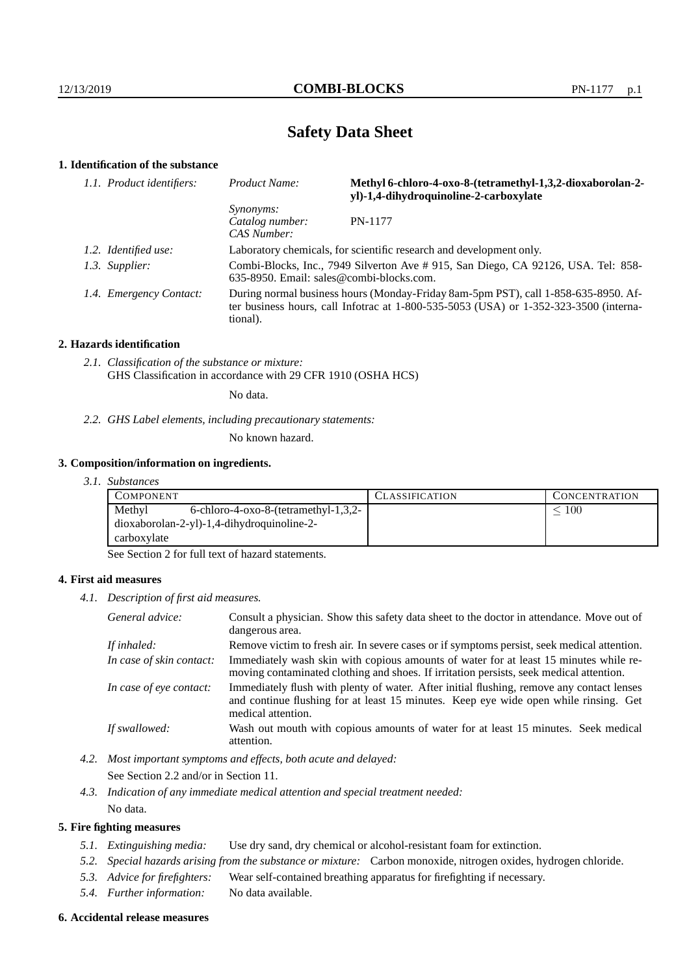# **Safety Data Sheet**

# **1. Identification of the substance**

| 1.1. Product identifiers: | Product Name:                                                                                                                 | Methyl 6-chloro-4-oxo-8-(tetramethyl-1,3,2-dioxaborolan-2-<br>yl)-1,4-dihydroquinoline-2-carboxylate                                                                            |
|---------------------------|-------------------------------------------------------------------------------------------------------------------------------|---------------------------------------------------------------------------------------------------------------------------------------------------------------------------------|
|                           | <i>Synonyms:</i><br>Catalog number:<br>CAS Number:                                                                            | PN-1177                                                                                                                                                                         |
| 1.2. Identified use:      | Laboratory chemicals, for scientific research and development only.                                                           |                                                                                                                                                                                 |
| 1.3. Supplier:            | Combi-Blocks, Inc., 7949 Silverton Ave # 915, San Diego, CA 92126, USA. Tel: 858-<br>635-8950. Email: sales@combi-blocks.com. |                                                                                                                                                                                 |
| 1.4. Emergency Contact:   | tional).                                                                                                                      | During normal business hours (Monday-Friday 8am-5pm PST), call 1-858-635-8950. Af-<br>ter business hours, call Informac at $1-800-535-5053$ (USA) or $1-352-323-3500$ (interna- |

### **2. Hazards identification**

*2.1. Classification of the substance or mixture:* GHS Classification in accordance with 29 CFR 1910 (OSHA HCS)

No data.

*2.2. GHS Label elements, including precautionary statements:*

No known hazard.

# **3. Composition/information on ingredients.**

*3.1. Substances*

| <b>COMPONENT</b>                                  | <b>CLASSIFICATION</b> | <b>CONCENTRATION</b> |
|---------------------------------------------------|-----------------------|----------------------|
| Methyl<br>$6$ -chloro-4-oxo-8-(tetramethyl-1,3,2- |                       | 100                  |
| $dioxaborolan-2-yl)-1,4-dihydroquinoline-2-$      |                       |                      |
| carboxylate                                       |                       |                      |

See Section 2 for full text of hazard statements.

# **4. First aid measures**

*4.1. Description of first aid measures.*

| General advice:          | Consult a physician. Show this safety data sheet to the doctor in attendance. Move out of<br>dangerous area.                                                                                            |
|--------------------------|---------------------------------------------------------------------------------------------------------------------------------------------------------------------------------------------------------|
| If inhaled:              | Remove victim to fresh air. In severe cases or if symptoms persist, seek medical attention.                                                                                                             |
| In case of skin contact: | Immediately wash skin with copious amounts of water for at least 15 minutes while re-<br>moving contaminated clothing and shoes. If irritation persists, seek medical attention.                        |
| In case of eye contact:  | Immediately flush with plenty of water. After initial flushing, remove any contact lenses<br>and continue flushing for at least 15 minutes. Keep eye wide open while rinsing. Get<br>medical attention. |
| If swallowed:            | Wash out mouth with copious amounts of water for at least 15 minutes. Seek medical<br>attention.                                                                                                        |

*4.2. Most important symptoms and effects, both acute and delayed:*

See Section 2.2 and/or in Section 11.

*4.3. Indication of any immediate medical attention and special treatment needed:* No data.

### **5. Fire fighting measures**

- *5.1. Extinguishing media:* Use dry sand, dry chemical or alcohol-resistant foam for extinction.
- *5.2. Special hazards arising from the substance or mixture:* Carbon monoxide, nitrogen oxides, hydrogen chloride.
- *5.3. Advice for firefighters:* Wear self-contained breathing apparatus for firefighting if necessary.
- *5.4. Further information:* No data available.

### **6. Accidental release measures**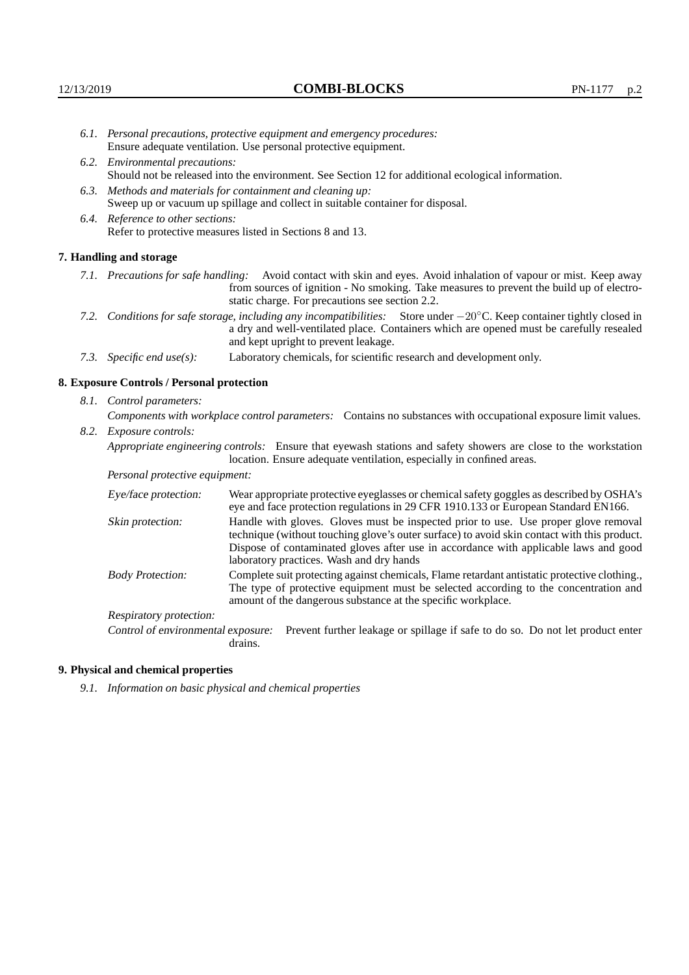- *6.1. Personal precautions, protective equipment and emergency procedures:* Ensure adequate ventilation. Use personal protective equipment.
- *6.2. Environmental precautions:* Should not be released into the environment. See Section 12 for additional ecological information.
- *6.3. Methods and materials for containment and cleaning up:* Sweep up or vacuum up spillage and collect in suitable container for disposal.
- *6.4. Reference to other sections:* Refer to protective measures listed in Sections 8 and 13.

#### **7. Handling and storage**

- *7.1. Precautions for safe handling:* Avoid contact with skin and eyes. Avoid inhalation of vapour or mist. Keep away from sources of ignition - No smoking. Take measures to prevent the build up of electrostatic charge. For precautions see section 2.2.
- *7.2. Conditions for safe storage, including any incompatibilities:* Store under −20◦C. Keep container tightly closed in a dry and well-ventilated place. Containers which are opened must be carefully resealed and kept upright to prevent leakage.
- *7.3. Specific end use(s):* Laboratory chemicals, for scientific research and development only.

#### **8. Exposure Controls / Personal protection**

*8.1. Control parameters:*

*Components with workplace control parameters:* Contains no substances with occupational exposure limit values. *8.2. Exposure controls:*

*Appropriate engineering controls:* Ensure that eyewash stations and safety showers are close to the workstation

location. Ensure adequate ventilation, especially in confined areas. *Personal protective equipment:*

| I ersonat protective equipment. |                                                                                                                                                                                                                                                                                                                        |
|---------------------------------|------------------------------------------------------------------------------------------------------------------------------------------------------------------------------------------------------------------------------------------------------------------------------------------------------------------------|
| Eye/face protection:            | Wear appropriate protective eyeglasses or chemical safety goggles as described by OSHA's<br>eye and face protection regulations in 29 CFR 1910.133 or European Standard EN166.                                                                                                                                         |
| Skin protection:                | Handle with gloves. Gloves must be inspected prior to use. Use proper glove removal<br>technique (without touching glove's outer surface) to avoid skin contact with this product.<br>Dispose of contaminated gloves after use in accordance with applicable laws and good<br>laboratory practices. Wash and dry hands |
| <b>Body Protection:</b>         | Complete suit protecting against chemicals, Flame retardant antistatic protective clothing.,<br>The type of protective equipment must be selected according to the concentration and<br>amount of the dangerous substance at the specific workplace.                                                                   |
| Respiratory protection:         |                                                                                                                                                                                                                                                                                                                        |

Control of environmental exposure: Prevent further leakage or spillage if safe to do so. Do not let product enter drains.

## **9. Physical and chemical properties**

*9.1. Information on basic physical and chemical properties*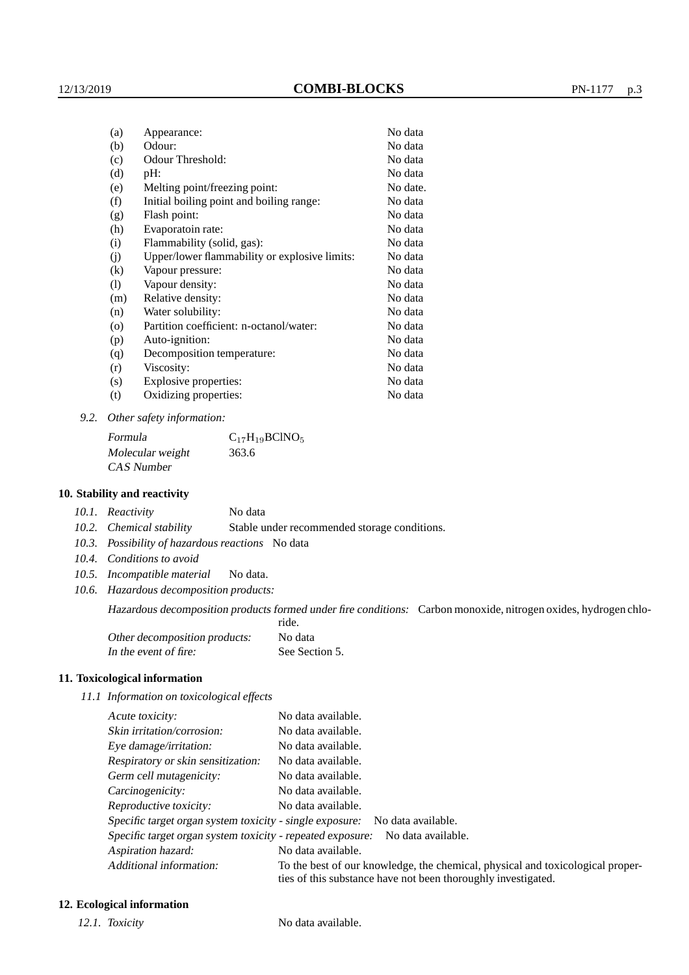| (a)                          | Appearance:                                   | No data  |
|------------------------------|-----------------------------------------------|----------|
| (b)                          | Odour:                                        | No data  |
| (c)                          | Odour Threshold:                              | No data  |
| (d)                          | $pH$ :                                        | No data  |
| (e)                          | Melting point/freezing point:                 | No date. |
| (f)                          | Initial boiling point and boiling range:      | No data  |
| (g)                          | Flash point:                                  | No data  |
| (h)                          | Evaporatoin rate:                             | No data  |
| (i)                          | Flammability (solid, gas):                    | No data  |
| (j)                          | Upper/lower flammability or explosive limits: | No data  |
| (k)                          | Vapour pressure:                              | No data  |
| $\left( \frac{1}{2} \right)$ | Vapour density:                               | No data  |
| (m)                          | Relative density:                             | No data  |
| (n)                          | Water solubility:                             | No data  |
| $\circ$                      | Partition coefficient: n-octanol/water:       | No data  |
| (p)                          | Auto-ignition:                                | No data  |
| (q)                          | Decomposition temperature:                    | No data  |
| (r)                          | Viscosity:                                    | No data  |
| (s)                          | Explosive properties:                         | No data  |
| (t)                          | Oxidizing properties:                         | No data  |
|                              |                                               |          |

*9.2. Other safety information:*

Formula  $C_{17}H_{19}BCINO_5$ Molecular weight 363.6 CAS Number

### **10. Stability and reactivity**

*10.1. Reactivity* No data

*10.2. Chemical stability* Stable under recommended storage conditions.

- *10.3. Possibility of hazardous reactions* No data
- *10.4. Conditions to avoid*
- *10.5. Incompatible material* No data.
- *10.6. Hazardous decomposition products:*

Hazardous decomposition products formed under fire conditions: Carbon monoxide, nitrogen oxides, hydrogen chlo-

|                               | ride.          |
|-------------------------------|----------------|
| Other decomposition products: | No data        |
| In the event of fire:         | See Section 5. |

### **11. Toxicological information**

*11.1 Information on toxicological effects*

| Acute toxicity:                                            | No data available.                                                                                                                              |
|------------------------------------------------------------|-------------------------------------------------------------------------------------------------------------------------------------------------|
| Skin irritation/corrosion:                                 | No data available.                                                                                                                              |
| Eye damage/irritation:                                     | No data available.                                                                                                                              |
| Respiratory or skin sensitization:                         | No data available.                                                                                                                              |
| Germ cell mutagenicity:                                    | No data available.                                                                                                                              |
| Carcinogenicity:                                           | No data available.                                                                                                                              |
| Reproductive toxicity:                                     | No data available.                                                                                                                              |
| Specific target organ system toxicity - single exposure:   | No data available.                                                                                                                              |
| Specific target organ system toxicity - repeated exposure: | No data available.                                                                                                                              |
| Aspiration hazard:                                         | No data available.                                                                                                                              |
| Additional information:                                    | To the best of our knowledge, the chemical, physical and toxicological proper-<br>ties of this substance have not been thoroughly investigated. |

### **12. Ecological information**

*12.1. Toxicity* No data available.